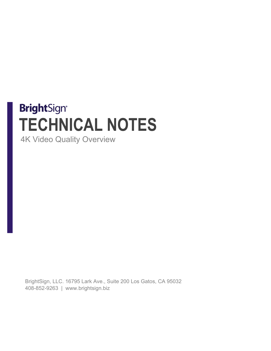# **BrightSign® TECHNICAL NOTES**

4K Video Quality Overview

BrightSign, LLC. 16795 Lark Ave., Suite 200 Los Gatos, CA 95032 408-852-9263 | www.brightsign.biz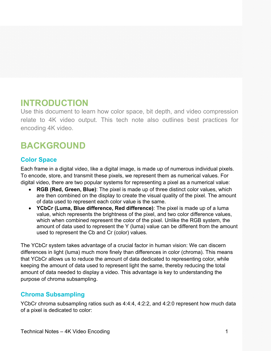### **INTRODUCTION**

Use this document to learn how color space, bit depth, and video compression relate to 4K video output. This tech note also outlines best practices for encoding 4K video.

# **BACKGROUND**

#### **Color Space**

Each frame in a digital video, like a digital image, is made up of numerous individual pixels. To encode, store, and transmit these pixels, we represent them as numerical values. For digital video, there are two popular systems for representing a pixel as a numerical value:

- **RGB (Red, Green, Blue)**: The pixel is made up of three distinct color values, which are then combined on the display to create the visual quality of the pixel. The amount of data used to represent each color value is the same.
- **YCbCr (Luma, Blue difference, Red difference)**: The pixel is made up of a luma value, which represents the brightness of the pixel, and two color difference values, which when combined represent the color of the pixel. Unlike the RGB system, the amount of data used to represent the Y (luma) value can be different from the amount used to represent the Cb and Cr (color) values.

The YCbCr system takes advantage of a crucial factor in human vision: We can discern differences in light (luma) much more finely than differences in color (chroma). This means that YCbCr allows us to reduce the amount of data dedicated to representing color, while keeping the amount of data used to represent light the same, thereby reducing the total amount of data needed to display a video. This advantage is key to understanding the purpose of chroma subsampling.

#### **Chroma Subsampling**

YCbCr chroma subsampling ratios such as 4:4:4, 4:2:2, and 4:2:0 represent how much data of a pixel is dedicated to color: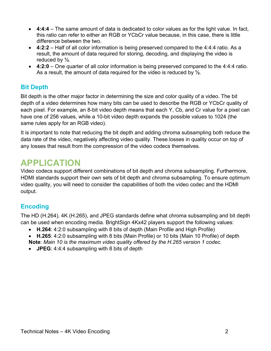- **4:4:4** The same amount of data is dedicated to color values as for the light value. In fact, this ratio can refer to either an RGB or YCbCr value because, in this case, there is little difference between the two.
- **4:2:2**  Half of all color information is being preserved compared to the 4:4:4 ratio. As a result, the amount of data required for storing, decoding, and displaying the video is reduced by **⅓**.
- **4:2:0** One quarter of all color information is being preserved compared to the 4:4:4 ratio. As a result, the amount of data required for the video is reduced by **½**.

#### **Bit Depth**

Bit depth is the other major factor in determining the size and color quality of a video. The bit depth of a video determines how many bits can be used to describe the RGB or YCbCr quality of each pixel. For example, an 8-bit video depth means that each Y, Cb, and Cr value for a pixel can have one of 256 values, while a 10-bit video depth expands the possible values to 1024 (the same rules apply for an RGB video).

It is important to note that reducing the bit depth and adding chroma subsampling both reduce the data rate of the video, negatively affecting video quality. These losses in quality occur on top of any losses that result from the compression of the video codecs themselves.

## **APPLICATION**

Video codecs support different combinations of bit depth and chroma subsampling. Furthermore, HDMI standards support their own sets of bit depth and chroma subsampling. To ensure optimum video quality, you will need to consider the capabilities of both the video codec and the HDMI output.

#### **Encoding**

The HD (H.264), 4K (H.265), and JPEG standards define what chroma subsampling and bit depth can be used when encoding media. BrightSign 4Kx42 players support the following values:

- **H.264**: 4:2:0 subsampling with 8 bits of depth (Main Profile and High Profile)
- **H.265**: 4:2:0 subsampling with 8 bits (Main Profile) or 10 bits (Main 10 Profile) of depth **Note**: *Main 10 is the maximum video quality offered by the H.265 version 1 codec.*
- **JPEG**: 4:4:4 subsampling with 8 bits of depth